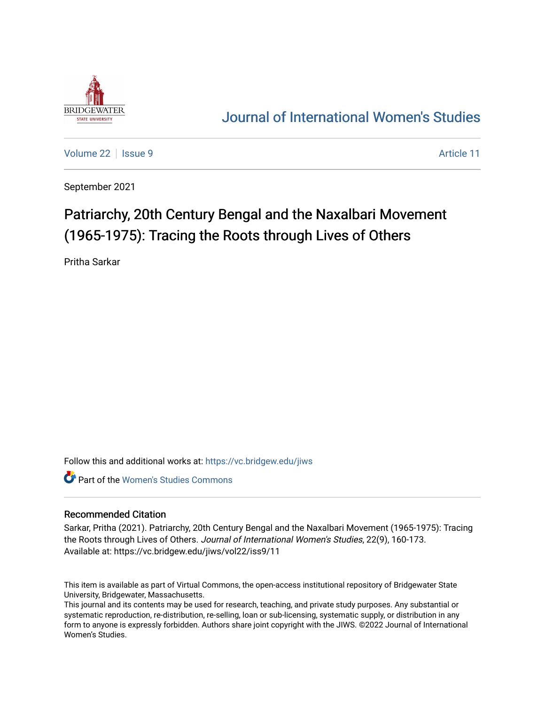

# [Journal of International Women's Studies](https://vc.bridgew.edu/jiws)

[Volume 22](https://vc.bridgew.edu/jiws/vol22) | [Issue 9](https://vc.bridgew.edu/jiws/vol22/iss9) Article 11

September 2021

# Patriarchy, 20th Century Bengal and the Naxalbari Movement (1965-1975): Tracing the Roots through Lives of Others

Pritha Sarkar

Follow this and additional works at: [https://vc.bridgew.edu/jiws](https://vc.bridgew.edu/jiws?utm_source=vc.bridgew.edu%2Fjiws%2Fvol22%2Fiss9%2F11&utm_medium=PDF&utm_campaign=PDFCoverPages)

**C** Part of the Women's Studies Commons

#### Recommended Citation

Sarkar, Pritha (2021). Patriarchy, 20th Century Bengal and the Naxalbari Movement (1965-1975): Tracing the Roots through Lives of Others. Journal of International Women's Studies, 22(9), 160-173. Available at: https://vc.bridgew.edu/jiws/vol22/iss9/11

This item is available as part of Virtual Commons, the open-access institutional repository of Bridgewater State University, Bridgewater, Massachusetts.

This journal and its contents may be used for research, teaching, and private study purposes. Any substantial or systematic reproduction, re-distribution, re-selling, loan or sub-licensing, systematic supply, or distribution in any form to anyone is expressly forbidden. Authors share joint copyright with the JIWS. ©2022 Journal of International Women's Studies.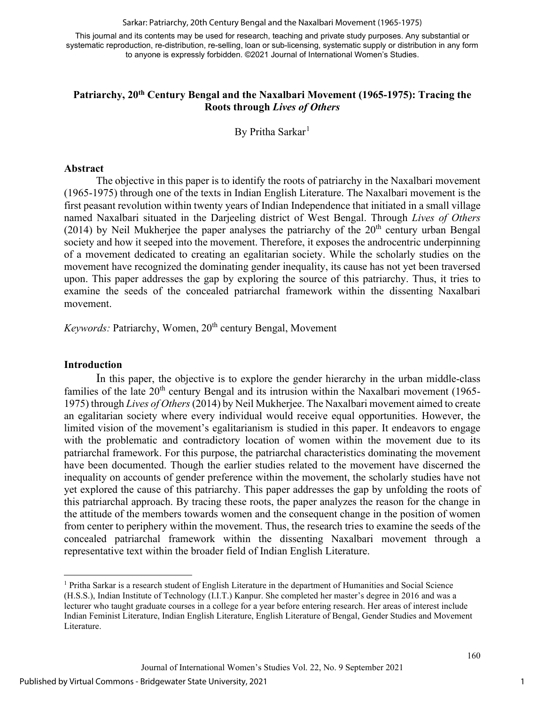Sarkar: Patriarchy, 20th Century Bengal and the Naxalbari Movement (1965-1975)

This journal and its contents may be used for research, teaching and private study purposes. Any substantial or systematic reproduction, re-distribution, re-selling, loan or sub-licensing, systematic supply or distribution in any form to anyone is expressly forbidden. ©2021 Journal of International Women's Studies.

# **Patriarchy, 20th Century Bengal and the Naxalbari Movement (1965-1975): Tracing the Roots through** *Lives of Others*

By Pritha Sarkar<sup>[1](#page-1-0)</sup>

#### **Abstract**

The objective in this paper is to identify the roots of patriarchy in the Naxalbari movement (1965-1975) through one of the texts in Indian English Literature. The Naxalbari movement is the first peasant revolution within twenty years of Indian Independence that initiated in a small village named Naxalbari situated in the Darjeeling district of West Bengal. Through *Lives of Others* (2014) by Neil Mukherjee the paper analyses the patriarchy of the  $20<sup>th</sup>$  century urban Bengal society and how it seeped into the movement. Therefore, it exposes the androcentric underpinning of a movement dedicated to creating an egalitarian society. While the scholarly studies on the movement have recognized the dominating gender inequality, its cause has not yet been traversed upon. This paper addresses the gap by exploring the source of this patriarchy. Thus, it tries to examine the seeds of the concealed patriarchal framework within the dissenting Naxalbari movement.

*Keywords:* Patriarchy, Women, 20<sup>th</sup> century Bengal, Movement

### **Introduction**

In this paper, the objective is to explore the gender hierarchy in the urban middle-class families of the late  $20<sup>th</sup>$  century Bengal and its intrusion within the Naxalbari movement (1965-1975) through *Lives of Others*(2014) by Neil Mukherjee. The Naxalbari movement aimed to create an egalitarian society where every individual would receive equal opportunities. However, the limited vision of the movement's egalitarianism is studied in this paper. It endeavors to engage with the problematic and contradictory location of women within the movement due to its patriarchal framework. For this purpose, the patriarchal characteristics dominating the movement have been documented. Though the earlier studies related to the movement have discerned the inequality on accounts of gender preference within the movement, the scholarly studies have not yet explored the cause of this patriarchy. This paper addresses the gap by unfolding the roots of this patriarchal approach. By tracing these roots, the paper analyzes the reason for the change in the attitude of the members towards women and the consequent change in the position of women from center to periphery within the movement. Thus, the research tries to examine the seeds of the concealed patriarchal framework within the dissenting Naxalbari movement through a representative text within the broader field of Indian English Literature.

<span id="page-1-0"></span><sup>&</sup>lt;sup>1</sup> Pritha Sarkar is a research student of English Literature in the department of Humanities and Social Science (H.S.S.), Indian Institute of Technology (I.I.T.) Kanpur. She completed her master's degree in 2016 and was a lecturer who taught graduate courses in a college for a year before entering research. Her areas of interest include Indian Feminist Literature, Indian English Literature, English Literature of Bengal, Gender Studies and Movement Literature.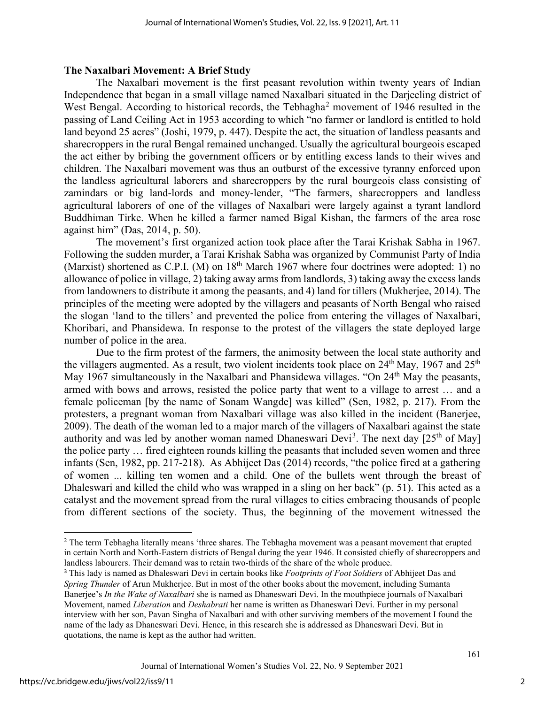#### **The Naxalbari Movement: A Brief Study**

The Naxalbari movement is the first peasant revolution within twenty years of Indian Independence that began in a small village named Naxalbari situated in the Darjeeling district of West Bengal. According to historical records, the Tebhagha<sup>[2](#page-2-0)</sup> movement of 1946 resulted in the passing of Land Ceiling Act in 1953 according to which "no farmer or landlord is entitled to hold land beyond 25 acres" (Joshi, 1979, p. 447). Despite the act, the situation of landless peasants and sharecroppers in the rural Bengal remained unchanged. Usually the agricultural bourgeois escaped the act either by bribing the government officers or by entitling excess lands to their wives and children. The Naxalbari movement was thus an outburst of the excessive tyranny enforced upon the landless agricultural laborers and sharecroppers by the rural bourgeois class consisting of zamindars or big land-lords and money-lender, "The farmers, sharecroppers and landless agricultural laborers of one of the villages of Naxalbari were largely against a tyrant landlord Buddhiman Tirke. When he killed a farmer named Bigal Kishan, the farmers of the area rose against him" (Das, 2014, p. 50).

The movement's first organized action took place after the Tarai Krishak Sabha in 1967. Following the sudden murder, a Tarai Krishak Sabha was organized by Communist Party of India (Marxist) shortened as C.P.I. (M) on  $18<sup>th</sup>$  March 1967 where four doctrines were adopted: 1) no allowance of police in village, 2) taking away arms from landlords, 3) taking away the excess lands from landowners to distribute it among the peasants, and 4) land for tillers (Mukherjee, 2014). The principles of the meeting were adopted by the villagers and peasants of North Bengal who raised the slogan 'land to the tillers' and prevented the police from entering the villages of Naxalbari, Khoribari, and Phansidewa. In response to the protest of the villagers the state deployed large number of police in the area.

Due to the firm protest of the farmers, the animosity between the local state authority and the villagers augmented. As a result, two violent incidents took place on  $24<sup>th</sup>$  May, 1967 and  $25<sup>th</sup>$ May 1967 simultaneously in the Naxalbari and Phansidewa villages. "On 24<sup>th</sup> May the peasants, armed with bows and arrows, resisted the police party that went to a village to arrest … and a female policeman [by the name of Sonam Wangde] was killed" (Sen, 1982, p. 217). From the protesters, a pregnant woman from Naxalbari village was also killed in the incident (Banerjee, 2009). The death of the woman led to a major march of the villagers of Naxalbari against the state authority and was led by another woman named Dhaneswari Devi<sup>[3](#page-2-1)</sup>. The next day [25<sup>th</sup> of May] the police party … fired eighteen rounds killing the peasants that included seven women and three infants (Sen, 1982, pp. 217-218). As Abhijeet Das (2014) records, "the police fired at a gathering of women ... killing ten women and a child. One of the bullets went through the breast of Dhaleswari and killed the child who was wrapped in a sling on her back" (p. 51). This acted as a catalyst and the movement spread from the rural villages to cities embracing thousands of people from different sections of the society. Thus, the beginning of the movement witnessed the

<span id="page-2-0"></span><sup>&</sup>lt;sup>2</sup> The term Tebhagha literally means 'three shares. The Tebhagha movement was a peasant movement that erupted in certain North and North-Eastern districts of Bengal during the year 1946. It consisted chiefly of sharecroppers and landless labourers. Their demand was to retain two-thirds of the share of the whole produce.

<span id="page-2-1"></span><sup>3</sup> This lady is named as Dhaleswari Devi in certain books like *Footprints of Foot Soldiers* of Abhijeet Das and *Spring Thunder* of Arun Mukherjee. But in most of the other books about the movement, including Sumanta Banerjee's *In the Wake of Naxalbari* she is named as Dhaneswari Devi. In the mouthpiece journals of Naxalbari Movement, named *Liberation* and *Deshabrati* her name is written as Dhaneswari Devi. Further in my personal interview with her son, Pavan Singha of Naxalbari and with other surviving members of the movement I found the name of the lady as Dhaneswari Devi. Hence, in this research she is addressed as Dhaneswari Devi. But in quotations, the name is kept as the author had written.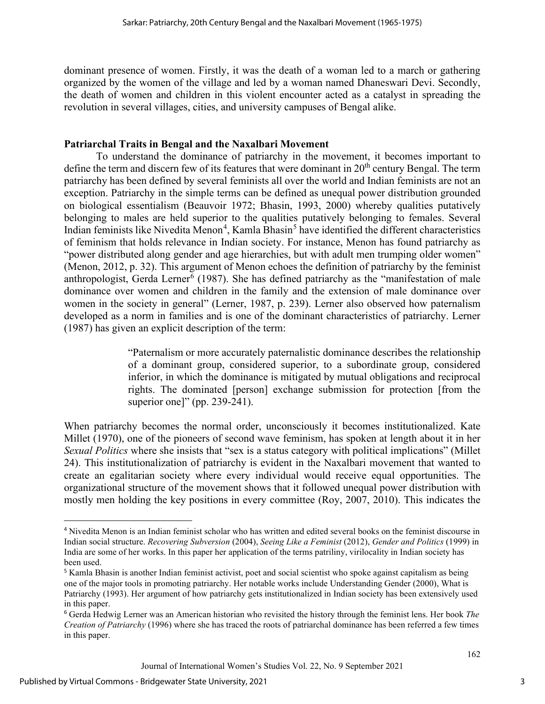dominant presence of women. Firstly, it was the death of a woman led to a march or gathering organized by the women of the village and led by a woman named Dhaneswari Devi. Secondly, the death of women and children in this violent encounter acted as a catalyst in spreading the revolution in several villages, cities, and university campuses of Bengal alike.

# **Patriarchal Traits in Bengal and the Naxalbari Movement**

To understand the dominance of patriarchy in the movement, it becomes important to define the term and discern few of its features that were dominant in 20<sup>th</sup> century Bengal. The term patriarchy has been defined by several feminists all over the world and Indian feminists are not an exception. Patriarchy in the simple terms can be defined as unequal power distribution grounded on biological essentialism (Beauvoir 1972; Bhasin, 1993, 2000) whereby qualities putatively belonging to males are held superior to the qualities putatively belonging to females. Several Indian feminists like Nivedita Menon<sup>[4](#page-3-0)</sup>, Kamla Bhasin<sup>[5](#page-3-1)</sup> have identified the different characteristics of feminism that holds relevance in Indian society. For instance, Menon has found patriarchy as "power distributed along gender and age hierarchies, but with adult men trumping older women" (Menon, 2012, p. 32). This argument of Menon echoes the definition of patriarchy by the feminist anthropologist, Gerda Lerner<sup>[6](#page-3-2)</sup> (1987). She has defined patriarchy as the "manifestation of male dominance over women and children in the family and the extension of male dominance over women in the society in general" (Lerner, 1987, p. 239). Lerner also observed how paternalism developed as a norm in families and is one of the dominant characteristics of patriarchy. Lerner (1987) has given an explicit description of the term:

> "Paternalism or more accurately paternalistic dominance describes the relationship of a dominant group, considered superior, to a subordinate group, considered inferior, in which the dominance is mitigated by mutual obligations and reciprocal rights. The dominated [person] exchange submission for protection [from the superior one]" (pp. 239-241).

When patriarchy becomes the normal order, unconsciously it becomes institutionalized. Kate Millet (1970), one of the pioneers of second wave feminism, has spoken at length about it in her *Sexual Politics* where she insists that "sex is a status category with political implications" (Millet 24). This institutionalization of patriarchy is evident in the Naxalbari movement that wanted to create an egalitarian society where every individual would receive equal opportunities. The organizational structure of the movement shows that it followed unequal power distribution with mostly men holding the key positions in every committee (Roy, 2007, 2010). This indicates the

<span id="page-3-0"></span><sup>4</sup> Nivedita Menon is an Indian feminist scholar who has written and edited several books on the feminist discourse in Indian social structure. *Recovering Subversion* (2004), *Seeing Like a Feminist* (2012), *Gender and Politics* (1999) in India are some of her works. In this paper her application of the terms patriliny, virilocality in Indian society has been used.

<span id="page-3-1"></span><sup>&</sup>lt;sup>5</sup> Kamla Bhasin is another Indian feminist activist, poet and social scientist who spoke against capitalism as being one of the major tools in promoting patriarchy. Her notable works include Understanding Gender (2000), What is Patriarchy (1993). Her argument of how patriarchy gets institutionalized in Indian society has been extensively used in this paper.

<span id="page-3-2"></span><sup>6</sup> Gerda Hedwig Lerner was an American historian who revisited the history through the feminist lens. Her book *The Creation of Patriarchy* (1996) where she has traced the roots of patriarchal dominance has been referred a few times in this paper.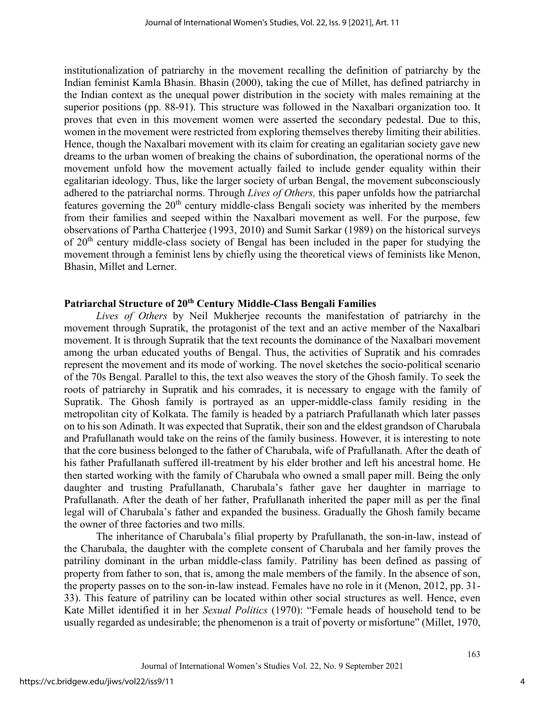institutionalization of patriarchy in the movement recalling the definition of patriarchy by the Indian feminist Kamla Bhasin. Bhasin (2000), taking the cue of Millet, has defined patriarchy in the Indian context as the unequal power distribution in the society with males remaining at the superior positions (pp. 88-91). This structure was followed in the Naxalbari organization too. It proves that even in this movement women were asserted the secondary pedestal. Due to this, women in the movement were restricted from exploring themselves thereby limiting their abilities. Hence, though the Naxalbari movement with its claim for creating an egalitarian society gave new dreams to the urban women of breaking the chains of subordination, the operational norms of the movement unfold how the movement actually failed to include gender equality within their egalitarian ideology. Thus, like the larger society of urban Bengal, the movement subconsciously adhered to the patriarchal norms. Through *Lives of Others,* this paper unfolds how the patriarchal features governing the  $20<sup>th</sup>$  century middle-class Bengali society was inherited by the members from their families and seeped within the Naxalbari movement as well. For the purpose, few observations of Partha Chatterjee (1993, 2010) and Sumit Sarkar (1989) on the historical surveys of 20<sup>th</sup> century middle-class society of Bengal has been included in the paper for studying the movement through a feminist lens by chiefly using the theoretical views of feminists like Menon, Bhasin, Millet and Lerner.

#### **Patriarchal Structure of 20th Century Middle-Class Bengali Families**

*Lives of Others* by Neil Mukherjee recounts the manifestation of patriarchy in the movement through Supratik, the protagonist of the text and an active member of the Naxalbari movement. It is through Supratik that the text recounts the dominance of the Naxalbari movement among the urban educated youths of Bengal. Thus, the activities of Supratik and his comrades represent the movement and its mode of working. The novel sketches the socio-political scenario of the 70s Bengal. Parallel to this, the text also weaves the story of the Ghosh family. To seek the roots of patriarchy in Supratik and his comrades, it is necessary to engage with the family of Supratik. The Ghosh family is portrayed as an upper-middle-class family residing in the metropolitan city of Kolkata. The family is headed by a patriarch Prafullanath which later passes on to his son Adinath. It was expected that Supratik, their son and the eldest grandson of Charubala and Prafullanath would take on the reins of the family business. However, it is interesting to note that the core business belonged to the father of Charubala, wife of Prafullanath. After the death of his father Prafullanath suffered ill-treatment by his elder brother and left his ancestral home. He then started working with the family of Charubala who owned a small paper mill. Being the only daughter and trusting Prafullanath, Charubala's father gave her daughter in marriage to Prafullanath. After the death of her father, Prafullanath inherited the paper mill as per the final legal will of Charubala's father and expanded the business. Gradually the Ghosh family became the owner of three factories and two mills.

The inheritance of Charubala's filial property by Prafullanath, the son-in-law, instead of the Charubala, the daughter with the complete consent of Charubala and her family proves the patriliny dominant in the urban middle-class family. Patriliny has been defined as passing of property from father to son, that is, among the male members of the family. In the absence of son, the property passes on to the son-in-law instead. Females have no role in it (Menon, 2012, pp. 31- 33). This feature of patriliny can be located within other social structures as well. Hence, even Kate Millet identified it in her *Sexual Politics* (1970): "Female heads of household tend to be usually regarded as undesirable; the phenomenon is a trait of poverty or misfortune" (Millet, 1970,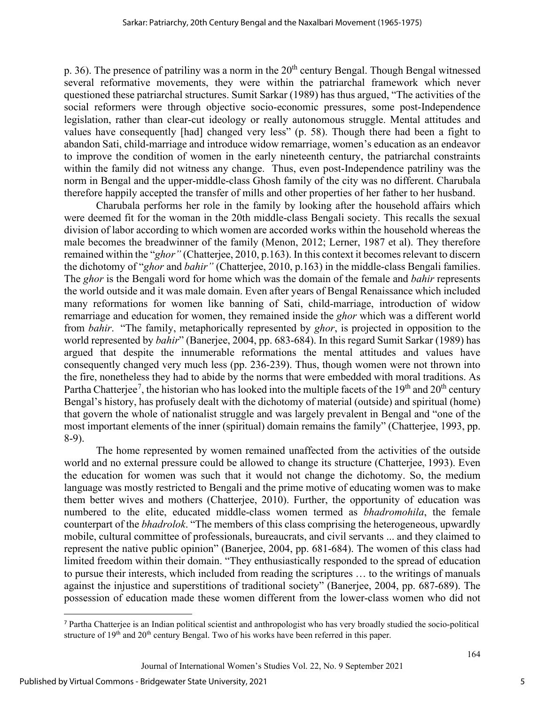p. 36). The presence of patriliny was a norm in the  $20<sup>th</sup>$  century Bengal. Though Bengal witnessed several reformative movements, they were within the patriarchal framework which never questioned these patriarchal structures. Sumit Sarkar (1989) has thus argued, "The activities of the social reformers were through objective socio-economic pressures, some post-Independence legislation, rather than clear-cut ideology or really autonomous struggle. Mental attitudes and values have consequently [had] changed very less" (p. 58). Though there had been a fight to abandon Sati, child-marriage and introduce widow remarriage, women's education as an endeavor to improve the condition of women in the early nineteenth century, the patriarchal constraints within the family did not witness any change. Thus, even post-Independence patriliny was the norm in Bengal and the upper-middle-class Ghosh family of the city was no different. Charubala therefore happily accepted the transfer of mills and other properties of her father to her husband.

Charubala performs her role in the family by looking after the household affairs which were deemed fit for the woman in the 20th middle-class Bengali society. This recalls the sexual division of labor according to which women are accorded works within the household whereas the male becomes the breadwinner of the family (Menon, 2012; Lerner, 1987 et al). They therefore remained within the "*ghor"* (Chatterjee, 2010, p.163). In this context it becomes relevant to discern the dichotomy of "*ghor* and *bahir"* (Chatterjee, 2010, p.163) in the middle-class Bengali families. The *ghor* is the Bengali word for home which was the domain of the female and *bahir* represents the world outside and it was male domain. Even after years of Bengal Renaissance which included many reformations for women like banning of Sati, child-marriage, introduction of widow remarriage and education for women, they remained inside the *ghor* which was a different world from *bahir*. "The family, metaphorically represented by *ghor*, is projected in opposition to the world represented by *bahir*" (Banerjee, 2004, pp. 683-684). In this regard Sumit Sarkar (1989) has argued that despite the innumerable reformations the mental attitudes and values have consequently changed very much less (pp. 236-239). Thus, though women were not thrown into the fire, nonetheless they had to abide by the norms that were embedded with moral traditions. As Partha Chatterjee<sup>[7](#page-5-0)</sup>, the historian who has looked into the multiple facets of the 19<sup>th</sup> and 20<sup>th</sup> century Bengal's history, has profusely dealt with the dichotomy of material (outside) and spiritual (home) that govern the whole of nationalist struggle and was largely prevalent in Bengal and "one of the most important elements of the inner (spiritual) domain remains the family" (Chatterjee, 1993, pp. 8-9).

The home represented by women remained unaffected from the activities of the outside world and no external pressure could be allowed to change its structure (Chatterjee, 1993). Even the education for women was such that it would not change the dichotomy. So, the medium language was mostly restricted to Bengali and the prime motive of educating women was to make them better wives and mothers (Chatterjee, 2010). Further, the opportunity of education was numbered to the elite, educated middle-class women termed as *bhadromohila*, the female counterpart of the *bhadrolok*. "The members of this class comprising the heterogeneous, upwardly mobile, cultural committee of professionals, bureaucrats, and civil servants ... and they claimed to represent the native public opinion" (Banerjee, 2004, pp. 681-684). The women of this class had limited freedom within their domain. "They enthusiastically responded to the spread of education to pursue their interests, which included from reading the scriptures … to the writings of manuals against the injustice and superstitions of traditional society" (Banerjee, 2004, pp. 687-689). The possession of education made these women different from the lower-class women who did not

<span id="page-5-0"></span><sup>7</sup> Partha Chatterjee is an Indian political scientist and anthropologist who has very broadly studied the socio-political structure of  $19<sup>th</sup>$  and  $20<sup>th</sup>$  century Bengal. Two of his works have been referred in this paper.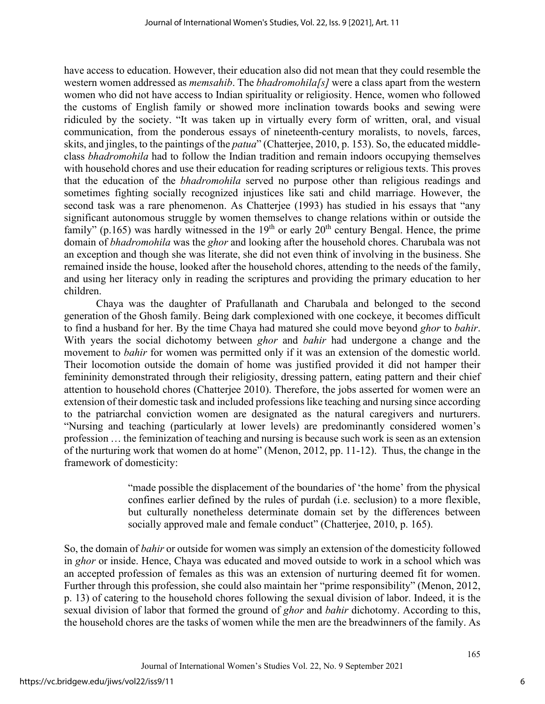have access to education. However, their education also did not mean that they could resemble the western women addressed as *memsahib*. The *bhadromohila[s]* were a class apart from the western women who did not have access to Indian spirituality or religiosity. Hence, women who followed the customs of English family or showed more inclination towards books and sewing were ridiculed by the society. "It was taken up in virtually every form of written, oral, and visual communication, from the ponderous essays of nineteenth-century moralists, to novels, farces, skits, and jingles, to the paintings of the *patua*" (Chatterjee, 2010, p. 153). So, the educated middleclass *bhadromohila* had to follow the Indian tradition and remain indoors occupying themselves with household chores and use their education for reading scriptures or religious texts. This proves that the education of the *bhadromohila* served no purpose other than religious readings and sometimes fighting socially recognized injustices like sati and child marriage. However, the second task was a rare phenomenon. As Chatterjee (1993) has studied in his essays that "any significant autonomous struggle by women themselves to change relations within or outside the family" (p.165) was hardly witnessed in the  $19<sup>th</sup>$  or early  $20<sup>th</sup>$  century Bengal. Hence, the prime domain of *bhadromohila* was the *ghor* and looking after the household chores. Charubala was not an exception and though she was literate, she did not even think of involving in the business. She remained inside the house, looked after the household chores, attending to the needs of the family, and using her literacy only in reading the scriptures and providing the primary education to her children.

Chaya was the daughter of Prafullanath and Charubala and belonged to the second generation of the Ghosh family. Being dark complexioned with one cockeye, it becomes difficult to find a husband for her. By the time Chaya had matured she could move beyond *ghor* to *bahir*. With years the social dichotomy between *ghor* and *bahir* had undergone a change and the movement to *bahir* for women was permitted only if it was an extension of the domestic world. Their locomotion outside the domain of home was justified provided it did not hamper their femininity demonstrated through their religiosity, dressing pattern, eating pattern and their chief attention to household chores (Chatterjee 2010). Therefore, the jobs asserted for women were an extension of their domestic task and included professions like teaching and nursing since according to the patriarchal conviction women are designated as the natural caregivers and nurturers. "Nursing and teaching (particularly at lower levels) are predominantly considered women's profession … the feminization of teaching and nursing is because such work is seen as an extension of the nurturing work that women do at home" (Menon, 2012, pp. 11-12). Thus, the change in the framework of domesticity:

> "made possible the displacement of the boundaries of 'the home' from the physical confines earlier defined by the rules of purdah (i.e. seclusion) to a more flexible, but culturally nonetheless determinate domain set by the differences between socially approved male and female conduct" (Chatterjee, 2010, p. 165).

So, the domain of *bahir* or outside for women was simply an extension of the domesticity followed in *ghor* or inside. Hence, Chaya was educated and moved outside to work in a school which was an accepted profession of females as this was an extension of nurturing deemed fit for women. Further through this profession, she could also maintain her "prime responsibility" (Menon, 2012, p. 13) of catering to the household chores following the sexual division of labor. Indeed, it is the sexual division of labor that formed the ground of *ghor* and *bahir* dichotomy. According to this, the household chores are the tasks of women while the men are the breadwinners of the family. As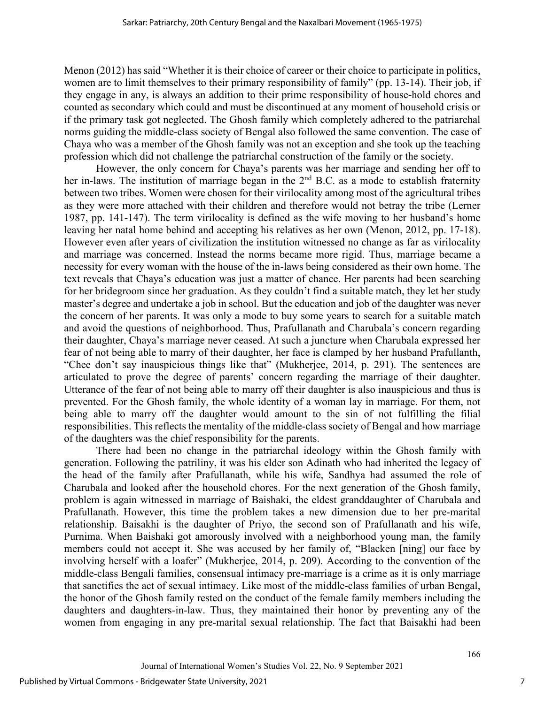Menon (2012) has said "Whether it is their choice of career or their choice to participate in politics, women are to limit themselves to their primary responsibility of family" (pp. 13-14). Their job, if they engage in any, is always an addition to their prime responsibility of house-hold chores and counted as secondary which could and must be discontinued at any moment of household crisis or if the primary task got neglected. The Ghosh family which completely adhered to the patriarchal norms guiding the middle-class society of Bengal also followed the same convention. The case of Chaya who was a member of the Ghosh family was not an exception and she took up the teaching profession which did not challenge the patriarchal construction of the family or the society.

However, the only concern for Chaya's parents was her marriage and sending her off to her in-laws. The institution of marriage began in the 2<sup>nd</sup> B.C. as a mode to establish fraternity between two tribes. Women were chosen for their virilocality among most of the agricultural tribes as they were more attached with their children and therefore would not betray the tribe (Lerner 1987, pp. 141-147). The term virilocality is defined as the wife moving to her husband's home leaving her natal home behind and accepting his relatives as her own (Menon, 2012, pp. 17-18). However even after years of civilization the institution witnessed no change as far as virilocality and marriage was concerned. Instead the norms became more rigid. Thus, marriage became a necessity for every woman with the house of the in-laws being considered as their own home. The text reveals that Chaya's education was just a matter of chance. Her parents had been searching for her bridegroom since her graduation. As they couldn't find a suitable match, they let her study master's degree and undertake a job in school. But the education and job of the daughter was never the concern of her parents. It was only a mode to buy some years to search for a suitable match and avoid the questions of neighborhood. Thus, Prafullanath and Charubala's concern regarding their daughter, Chaya's marriage never ceased. At such a juncture when Charubala expressed her fear of not being able to marry of their daughter, her face is clamped by her husband Prafullanth, "Chee don't say inauspicious things like that" (Mukherjee, 2014, p. 291). The sentences are articulated to prove the degree of parents' concern regarding the marriage of their daughter. Utterance of the fear of not being able to marry off their daughter is also inauspicious and thus is prevented. For the Ghosh family, the whole identity of a woman lay in marriage. For them, not being able to marry off the daughter would amount to the sin of not fulfilling the filial responsibilities. This reflects the mentality of the middle-class society of Bengal and how marriage of the daughters was the chief responsibility for the parents.

There had been no change in the patriarchal ideology within the Ghosh family with generation. Following the patriliny, it was his elder son Adinath who had inherited the legacy of the head of the family after Prafullanath, while his wife, Sandhya had assumed the role of Charubala and looked after the household chores. For the next generation of the Ghosh family, problem is again witnessed in marriage of Baishaki, the eldest granddaughter of Charubala and Prafullanath. However, this time the problem takes a new dimension due to her pre-marital relationship. Baisakhi is the daughter of Priyo, the second son of Prafullanath and his wife, Purnima. When Baishaki got amorously involved with a neighborhood young man, the family members could not accept it. She was accused by her family of, "Blacken [ning] our face by involving herself with a loafer" (Mukherjee, 2014, p. 209). According to the convention of the middle-class Bengali families, consensual intimacy pre-marriage is a crime as it is only marriage that sanctifies the act of sexual intimacy. Like most of the middle-class families of urban Bengal, the honor of the Ghosh family rested on the conduct of the female family members including the daughters and daughters-in-law. Thus, they maintained their honor by preventing any of the women from engaging in any pre-marital sexual relationship. The fact that Baisakhi had been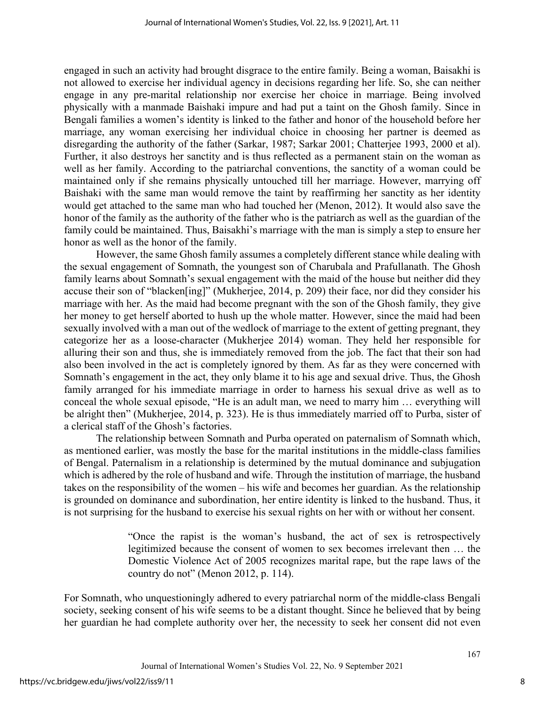engaged in such an activity had brought disgrace to the entire family. Being a woman, Baisakhi is not allowed to exercise her individual agency in decisions regarding her life. So, she can neither engage in any pre-marital relationship nor exercise her choice in marriage. Being involved physically with a manmade Baishaki impure and had put a taint on the Ghosh family. Since in Bengali families a women's identity is linked to the father and honor of the household before her marriage, any woman exercising her individual choice in choosing her partner is deemed as disregarding the authority of the father (Sarkar, 1987; Sarkar 2001; Chatterjee 1993, 2000 et al). Further, it also destroys her sanctity and is thus reflected as a permanent stain on the woman as well as her family. According to the patriarchal conventions, the sanctity of a woman could be maintained only if she remains physically untouched till her marriage. However, marrying off Baishaki with the same man would remove the taint by reaffirming her sanctity as her identity would get attached to the same man who had touched her (Menon, 2012). It would also save the honor of the family as the authority of the father who is the patriarch as well as the guardian of the family could be maintained. Thus, Baisakhi's marriage with the man is simply a step to ensure her honor as well as the honor of the family.

However, the same Ghosh family assumes a completely different stance while dealing with the sexual engagement of Somnath, the youngest son of Charubala and Prafullanath. The Ghosh family learns about Somnath's sexual engagement with the maid of the house but neither did they accuse their son of "blacken[ing]" (Mukherjee, 2014, p. 209) their face, nor did they consider his marriage with her. As the maid had become pregnant with the son of the Ghosh family, they give her money to get herself aborted to hush up the whole matter. However, since the maid had been sexually involved with a man out of the wedlock of marriage to the extent of getting pregnant, they categorize her as a loose-character (Mukherjee 2014) woman. They held her responsible for alluring their son and thus, she is immediately removed from the job. The fact that their son had also been involved in the act is completely ignored by them. As far as they were concerned with Somnath's engagement in the act, they only blame it to his age and sexual drive. Thus, the Ghosh family arranged for his immediate marriage in order to harness his sexual drive as well as to conceal the whole sexual episode, "He is an adult man, we need to marry him … everything will be alright then" (Mukherjee, 2014, p. 323). He is thus immediately married off to Purba, sister of a clerical staff of the Ghosh's factories.

The relationship between Somnath and Purba operated on paternalism of Somnath which, as mentioned earlier, was mostly the base for the marital institutions in the middle-class families of Bengal. Paternalism in a relationship is determined by the mutual dominance and subjugation which is adhered by the role of husband and wife. Through the institution of marriage, the husband takes on the responsibility of the women – his wife and becomes her guardian. As the relationship is grounded on dominance and subordination, her entire identity is linked to the husband. Thus, it is not surprising for the husband to exercise his sexual rights on her with or without her consent.

> "Once the rapist is the woman's husband, the act of sex is retrospectively legitimized because the consent of women to sex becomes irrelevant then … the Domestic Violence Act of 2005 recognizes marital rape, but the rape laws of the country do not" (Menon 2012, p. 114).

For Somnath, who unquestioningly adhered to every patriarchal norm of the middle-class Bengali society, seeking consent of his wife seems to be a distant thought. Since he believed that by being her guardian he had complete authority over her, the necessity to seek her consent did not even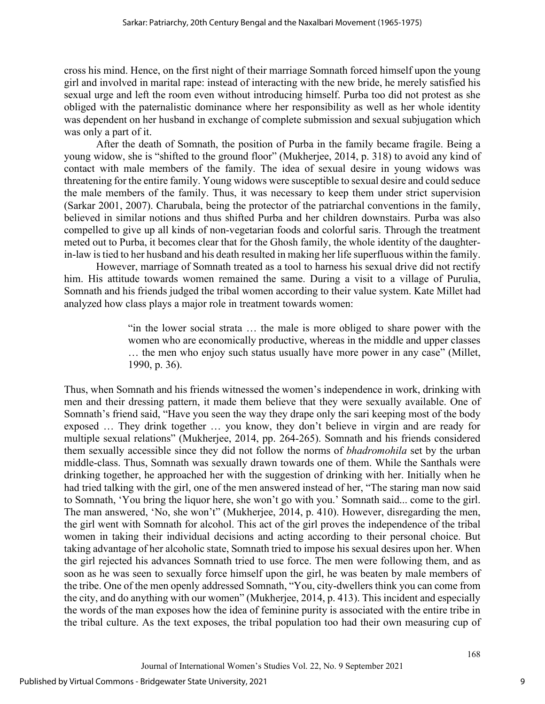cross his mind. Hence, on the first night of their marriage Somnath forced himself upon the young girl and involved in marital rape: instead of interacting with the new bride, he merely satisfied his sexual urge and left the room even without introducing himself. Purba too did not protest as she obliged with the paternalistic dominance where her responsibility as well as her whole identity was dependent on her husband in exchange of complete submission and sexual subjugation which was only a part of it.

After the death of Somnath, the position of Purba in the family became fragile. Being a young widow, she is "shifted to the ground floor" (Mukherjee, 2014, p. 318) to avoid any kind of contact with male members of the family. The idea of sexual desire in young widows was threatening for the entire family. Young widows were susceptible to sexual desire and could seduce the male members of the family. Thus, it was necessary to keep them under strict supervision (Sarkar 2001, 2007). Charubala, being the protector of the patriarchal conventions in the family, believed in similar notions and thus shifted Purba and her children downstairs. Purba was also compelled to give up all kinds of non-vegetarian foods and colorful saris. Through the treatment meted out to Purba, it becomes clear that for the Ghosh family, the whole identity of the daughterin-law istied to her husband and his death resulted in making her life superfluous within the family.

However, marriage of Somnath treated as a tool to harness his sexual drive did not rectify him. His attitude towards women remained the same. During a visit to a village of Purulia, Somnath and his friends judged the tribal women according to their value system. Kate Millet had analyzed how class plays a major role in treatment towards women:

> "in the lower social strata … the male is more obliged to share power with the women who are economically productive, whereas in the middle and upper classes … the men who enjoy such status usually have more power in any case" (Millet, 1990, p. 36).

Thus, when Somnath and his friends witnessed the women's independence in work, drinking with men and their dressing pattern, it made them believe that they were sexually available. One of Somnath's friend said, "Have you seen the way they drape only the sari keeping most of the body exposed … They drink together … you know, they don't believe in virgin and are ready for multiple sexual relations" (Mukherjee, 2014, pp. 264-265). Somnath and his friends considered them sexually accessible since they did not follow the norms of *bhadromohila* set by the urban middle-class. Thus, Somnath was sexually drawn towards one of them. While the Santhals were drinking together, he approached her with the suggestion of drinking with her. Initially when he had tried talking with the girl, one of the men answered instead of her, "The staring man now said to Somnath, 'You bring the liquor here, she won't go with you.' Somnath said... come to the girl. The man answered, 'No, she won't" (Mukherjee, 2014, p. 410). However, disregarding the men, the girl went with Somnath for alcohol. This act of the girl proves the independence of the tribal women in taking their individual decisions and acting according to their personal choice. But taking advantage of her alcoholic state, Somnath tried to impose his sexual desires upon her. When the girl rejected his advances Somnath tried to use force. The men were following them, and as soon as he was seen to sexually force himself upon the girl, he was beaten by male members of the tribe. One of the men openly addressed Somnath, "You, city-dwellers think you can come from the city, and do anything with our women" (Mukherjee, 2014, p. 413). This incident and especially the words of the man exposes how the idea of feminine purity is associated with the entire tribe in the tribal culture. As the text exposes, the tribal population too had their own measuring cup of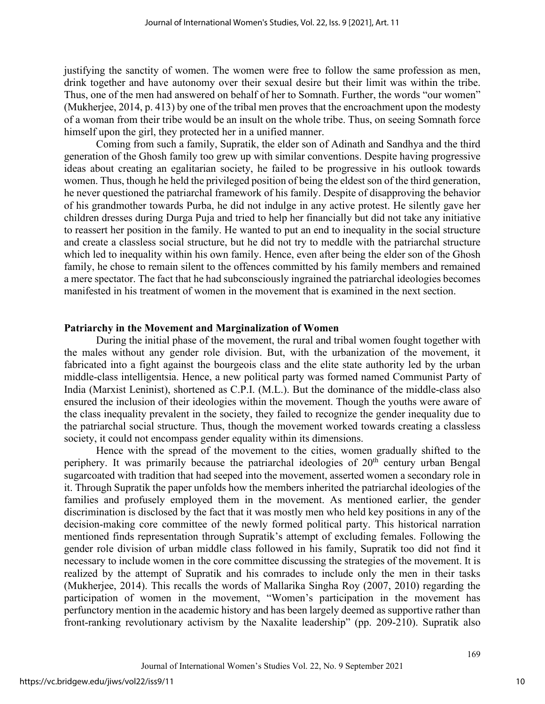justifying the sanctity of women. The women were free to follow the same profession as men, drink together and have autonomy over their sexual desire but their limit was within the tribe. Thus, one of the men had answered on behalf of her to Somnath. Further, the words "our women" (Mukherjee, 2014, p. 413) by one of the tribal men proves that the encroachment upon the modesty of a woman from their tribe would be an insult on the whole tribe. Thus, on seeing Somnath force himself upon the girl, they protected her in a unified manner.

Coming from such a family, Supratik, the elder son of Adinath and Sandhya and the third generation of the Ghosh family too grew up with similar conventions. Despite having progressive ideas about creating an egalitarian society, he failed to be progressive in his outlook towards women. Thus, though he held the privileged position of being the eldest son of the third generation, he never questioned the patriarchal framework of his family. Despite of disapproving the behavior of his grandmother towards Purba, he did not indulge in any active protest. He silently gave her children dresses during Durga Puja and tried to help her financially but did not take any initiative to reassert her position in the family. He wanted to put an end to inequality in the social structure and create a classless social structure, but he did not try to meddle with the patriarchal structure which led to inequality within his own family. Hence, even after being the elder son of the Ghosh family, he chose to remain silent to the offences committed by his family members and remained a mere spectator. The fact that he had subconsciously ingrained the patriarchal ideologies becomes manifested in his treatment of women in the movement that is examined in the next section.

#### **Patriarchy in the Movement and Marginalization of Women**

During the initial phase of the movement, the rural and tribal women fought together with the males without any gender role division. But, with the urbanization of the movement, it fabricated into a fight against the bourgeois class and the elite state authority led by the urban middle-class intelligentsia. Hence, a new political party was formed named Communist Party of India (Marxist Leninist), shortened as C.P.I. (M.L.). But the dominance of the middle-class also ensured the inclusion of their ideologies within the movement. Though the youths were aware of the class inequality prevalent in the society, they failed to recognize the gender inequality due to the patriarchal social structure. Thus, though the movement worked towards creating a classless society, it could not encompass gender equality within its dimensions.

Hence with the spread of the movement to the cities, women gradually shifted to the periphery. It was primarily because the patriarchal ideologies of  $20<sup>th</sup>$  century urban Bengal sugarcoated with tradition that had seeped into the movement, asserted women a secondary role in it. Through Supratik the paper unfolds how the members inherited the patriarchal ideologies of the families and profusely employed them in the movement. As mentioned earlier, the gender discrimination is disclosed by the fact that it was mostly men who held key positions in any of the decision-making core committee of the newly formed political party. This historical narration mentioned finds representation through Supratik's attempt of excluding females. Following the gender role division of urban middle class followed in his family, Supratik too did not find it necessary to include women in the core committee discussing the strategies of the movement. It is realized by the attempt of Supratik and his comrades to include only the men in their tasks (Mukherjee, 2014). This recalls the words of Mallarika Singha Roy (2007, 2010) regarding the participation of women in the movement, "Women's participation in the movement has perfunctory mention in the academic history and has been largely deemed as supportive rather than front-ranking revolutionary activism by the Naxalite leadership" (pp. 209-210). Supratik also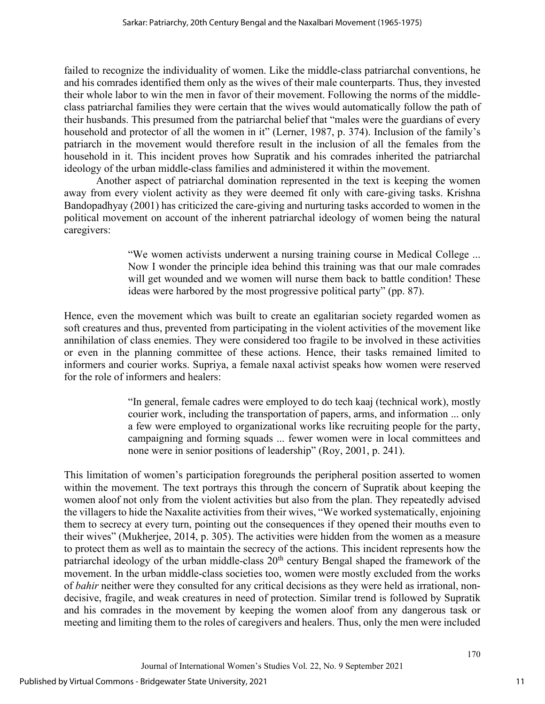failed to recognize the individuality of women. Like the middle-class patriarchal conventions, he and his comrades identified them only as the wives of their male counterparts. Thus, they invested their whole labor to win the men in favor of their movement. Following the norms of the middleclass patriarchal families they were certain that the wives would automatically follow the path of their husbands. This presumed from the patriarchal belief that "males were the guardians of every household and protector of all the women in it" (Lerner, 1987, p. 374). Inclusion of the family's patriarch in the movement would therefore result in the inclusion of all the females from the household in it. This incident proves how Supratik and his comrades inherited the patriarchal ideology of the urban middle-class families and administered it within the movement.

Another aspect of patriarchal domination represented in the text is keeping the women away from every violent activity as they were deemed fit only with care-giving tasks. Krishna Bandopadhyay (2001) has criticized the care-giving and nurturing tasks accorded to women in the political movement on account of the inherent patriarchal ideology of women being the natural caregivers:

> "We women activists underwent a nursing training course in Medical College ... Now I wonder the principle idea behind this training was that our male comrades will get wounded and we women will nurse them back to battle condition! These ideas were harbored by the most progressive political party" (pp. 87).

Hence, even the movement which was built to create an egalitarian society regarded women as soft creatures and thus, prevented from participating in the violent activities of the movement like annihilation of class enemies. They were considered too fragile to be involved in these activities or even in the planning committee of these actions. Hence, their tasks remained limited to informers and courier works. Supriya, a female naxal activist speaks how women were reserved for the role of informers and healers:

> "In general, female cadres were employed to do tech kaaj (technical work), mostly courier work, including the transportation of papers, arms, and information ... only a few were employed to organizational works like recruiting people for the party, campaigning and forming squads ... fewer women were in local committees and none were in senior positions of leadership" (Roy, 2001, p. 241).

This limitation of women's participation foregrounds the peripheral position asserted to women within the movement. The text portrays this through the concern of Supratik about keeping the women aloof not only from the violent activities but also from the plan. They repeatedly advised the villagers to hide the Naxalite activities from their wives, "We worked systematically, enjoining them to secrecy at every turn, pointing out the consequences if they opened their mouths even to their wives" (Mukherjee, 2014, p. 305). The activities were hidden from the women as a measure to protect them as well as to maintain the secrecy of the actions. This incident represents how the patriarchal ideology of the urban middle-class  $20<sup>th</sup>$  century Bengal shaped the framework of the movement. In the urban middle-class societies too, women were mostly excluded from the works of *bahir* neither were they consulted for any critical decisions as they were held as irrational, nondecisive, fragile, and weak creatures in need of protection. Similar trend is followed by Supratik and his comrades in the movement by keeping the women aloof from any dangerous task or meeting and limiting them to the roles of caregivers and healers. Thus, only the men were included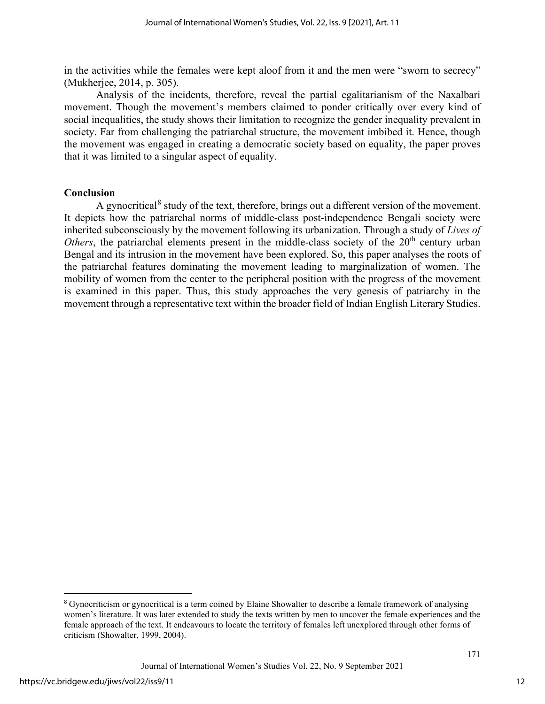in the activities while the females were kept aloof from it and the men were "sworn to secrecy" (Mukherjee, 2014, p. 305).

Analysis of the incidents, therefore, reveal the partial egalitarianism of the Naxalbari movement. Though the movement's members claimed to ponder critically over every kind of social inequalities, the study shows their limitation to recognize the gender inequality prevalent in society. Far from challenging the patriarchal structure, the movement imbibed it. Hence, though the movement was engaged in creating a democratic society based on equality, the paper proves that it was limited to a singular aspect of equality.

#### **Conclusion**

A gynocritical<sup>[8](#page-12-0)</sup> study of the text, therefore, brings out a different version of the movement. It depicts how the patriarchal norms of middle-class post-independence Bengali society were inherited subconsciously by the movement following its urbanization. Through a study of *Lives of Others*, the patriarchal elements present in the middle-class society of the  $20<sup>th</sup>$  century urban Bengal and its intrusion in the movement have been explored. So, this paper analyses the roots of the patriarchal features dominating the movement leading to marginalization of women. The mobility of women from the center to the peripheral position with the progress of the movement is examined in this paper. Thus, this study approaches the very genesis of patriarchy in the movement through a representative text within the broader field of Indian English Literary Studies.

<span id="page-12-0"></span><sup>8</sup> Gynocriticism or gynocritical is a term coined by Elaine Showalter to describe a female framework of analysing women's literature. It was later extended to study the texts written by men to uncover the female experiences and the female approach of the text. It endeavours to locate the territory of females left unexplored through other forms of criticism (Showalter, 1999, 2004).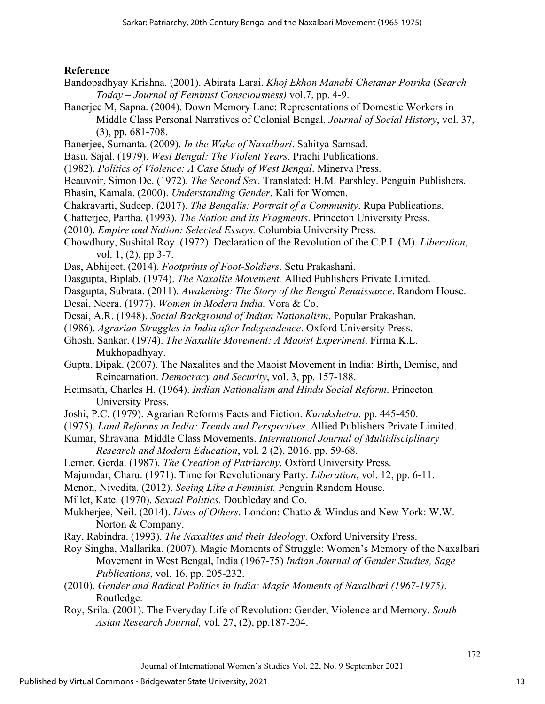# **Reference**

- Bandopadhyay Krishna. (2001). Abirata Larai. *Khoj Ekhon Manabi Chetanar Potrika* (*Search Today* – *Journal of Feminist Consciousness)* vol.7, pp. 4-9.
- Banerjee M, Sapna. (2004). Down Memory Lane: Representations of Domestic Workers in Middle Class Personal Narratives of Colonial Bengal. *Journal of Social History*, vol. 37, (3), pp. 681-708.
- Banerjee, Sumanta. (2009). *In the Wake of Naxalbari*. Sahitya Samsad.
- Basu, Sajal. (1979). *West Bengal: The Violent Years*. Prachi Publications.
- (1982). *Politics of Violence: A Case Study of West Bengal*. Minerva Press.
- Beauvoir, Simon De. (1972). *The Second Sex*. Translated: H.M. Parshley. Penguin Publishers.
- Bhasin, Kamala. (2000). *Understanding Gender*. Kali for Women.
- Chakravarti, Sudeep. (2017). *The Bengalis: Portrait of a Community*. Rupa Publications.
- Chatterjee, Partha. (1993). *The Nation and its Fragments*. Princeton University Press.
- (2010). *Empire and Nation: Selected Essays.* Columbia University Press.
- Chowdhury, Sushital Roy. (1972). Declaration of the Revolution of the C.P.I. (M). *Liberation*, vol. 1, (2), pp 3-7.
- Das, Abhijeet. (2014). *Footprints of Foot-Soldiers*. Setu Prakashani.
- Dasgupta, Biplab. (1974). *The Naxalite Movement.* Allied Publishers Private Limited.
- Dasgupta, Subrata. (2011). *Awakening: The Story of the Bengal Renaissance*. Random House.
- Desai, Neera. (1977). *Women in Modern India.* Vora & Co.
- Desai, A.R. (1948). *Social Background of Indian Nationalism*. Popular Prakashan.
- (1986). *Agrarian Struggles in India after Independence*. Oxford University Press.
- Ghosh, Sankar. (1974). *The Naxalite Movement: A Maoist Experiment*. Firma K.L. Mukhopadhyay.
- Gupta, Dipak. (2007). The Naxalites and the Maoist Movement in India: Birth, Demise, and Reincarnation. *Democracy and Security*, vol. 3, pp. 157-188.
- Heimsath, Charles H. (1964). *Indian Nationalism and Hindu Social Reform*. Princeton University Press.
- Joshi, P.C. (1979). Agrarian Reforms Facts and Fiction. *Kurukshetra*. pp. 445-450.
- (1975). *Land Reforms in India: Trends and Perspectives.* Allied Publishers Private Limited.
- Kumar, Shravana. Middle Class Movements. *International Journal of Multidisciplinary Research and Modern Education*, vol. 2 (2), 2016. pp. 59-68.
- Lerner, Gerda. (1987). *The Creation of Patriarchy*. Oxford University Press.
- Majumdar, Charu. (1971). Time for Revolutionary Party. *Liberation*, vol. 12, pp. 6-11.
- Menon, Nivedita. (2012). *Seeing Like a Feminist.* Penguin Random House.
- Millet, Kate. (1970). *Sexual Politics.* Doubleday and Co.
- Mukherjee, Neil. (2014). *Lives of Others.* London: Chatto & Windus and New York: W.W. Norton & Company.
- Ray, Rabindra. (1993). *The Naxalites and their Ideology.* Oxford University Press.
- Roy Singha, Mallarika. (2007). Magic Moments of Struggle: Women's Memory of the Naxalbari Movement in West Bengal, India (1967-75) *Indian Journal of Gender Studies, Sage Publications*, vol. 16, pp. 205-232.
- (2010). *Gender and Radical Politics in India: Magic Moments of Naxalbari (1967-1975)*. Routledge.
- Roy, Srila. (2001). The Everyday Life of Revolution: Gender, Violence and Memory. *South Asian Research Journal,* vol. 27, (2), pp.187-204.